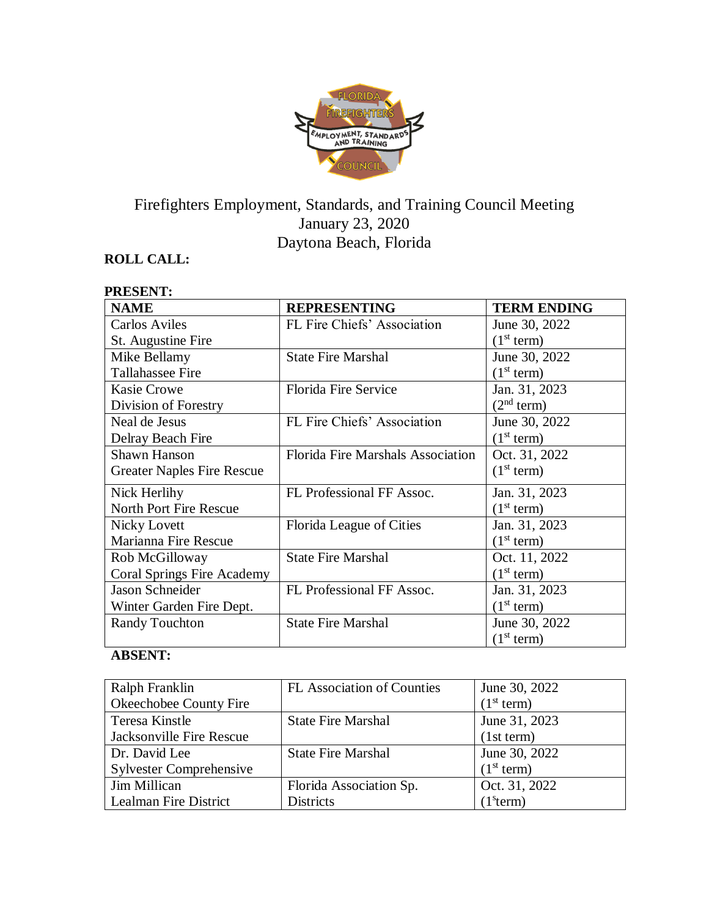

# Firefighters Employment, Standards, and Training Council Meeting January 23, 2020 Daytona Beach, Florida

# **ROLL CALL:**

| <b>PRESENT:</b>                   |                                          |                        |
|-----------------------------------|------------------------------------------|------------------------|
| <b>NAME</b>                       | <b>REPRESENTING</b>                      | <b>TERM ENDING</b>     |
| <b>Carlos Aviles</b>              | FL Fire Chiefs' Association              | June 30, 2022          |
| St. Augustine Fire                |                                          | (1 <sup>st</sup> term) |
| Mike Bellamy                      | <b>State Fire Marshal</b>                | June 30, 2022          |
| <b>Tallahassee Fire</b>           |                                          | (1 <sup>st</sup> term) |
| <b>Kasie Crowe</b>                | <b>Florida Fire Service</b>              | Jan. 31, 2023          |
| Division of Forestry              |                                          | (2 <sup>nd</sup> term) |
| Neal de Jesus                     | FL Fire Chiefs' Association              | June 30, 2022          |
| Delray Beach Fire                 |                                          | (1 <sup>st</sup> term) |
| <b>Shawn Hanson</b>               | <b>Florida Fire Marshals Association</b> | Oct. 31, 2022          |
| <b>Greater Naples Fire Rescue</b> |                                          | (1 <sup>st</sup> term) |
| Nick Herlihy                      | FL Professional FF Assoc.                | Jan. 31, 2023          |
| <b>North Port Fire Rescue</b>     |                                          | (1 <sup>st</sup> term) |
| <b>Nicky Lovett</b>               | Florida League of Cities                 | Jan. 31, 2023          |
| Marianna Fire Rescue              |                                          | (1 <sup>st</sup> term) |
| Rob McGilloway                    | <b>State Fire Marshal</b>                | Oct. 11, 2022          |
| <b>Coral Springs Fire Academy</b> |                                          | (1 <sup>st</sup> term) |
| <b>Jason Schneider</b>            | FL Professional FF Assoc.                | Jan. 31, 2023          |
| Winter Garden Fire Dept.          |                                          | (1 <sup>st</sup> term) |
| <b>Randy Touchton</b>             | <b>State Fire Marshal</b>                | June 30, 2022          |
|                                   |                                          | (1 <sup>st</sup> term) |

# **ABSENT:**

| Ralph Franklin                 | <b>FL</b> Association of Counties | June 30, 2022          |
|--------------------------------|-----------------------------------|------------------------|
| Okeechobee County Fire         |                                   | (1 <sup>st</sup> term) |
| Teresa Kinstle                 | <b>State Fire Marshal</b>         | June 31, 2023          |
| Jacksonville Fire Rescue       |                                   | (1st term)             |
| Dr. David Lee                  | <b>State Fire Marshal</b>         | June 30, 2022          |
| <b>Sylvester Comprehensive</b> |                                   | (1 <sup>st</sup> term) |
| Jim Millican                   | Florida Association Sp.           | Oct. 31, 2022          |
| <b>Lealman Fire District</b>   | <b>Districts</b>                  | (1 <sup>s</sup> term)  |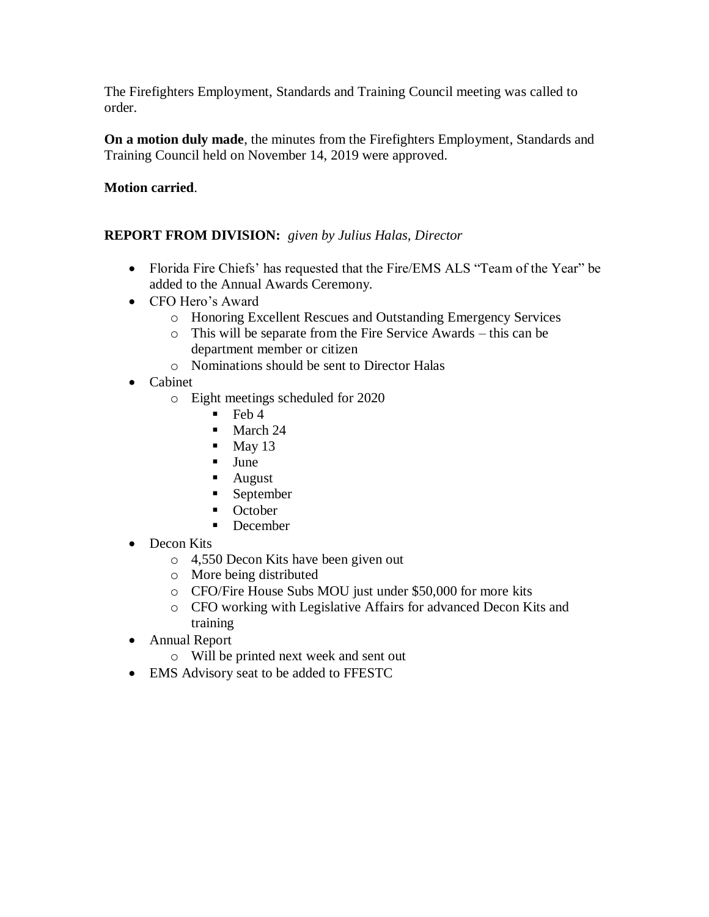The Firefighters Employment, Standards and Training Council meeting was called to order.

**On a motion duly made**, the minutes from the Firefighters Employment, Standards and Training Council held on November 14, 2019 were approved.

## **Motion carried**.

## **REPORT FROM DIVISION:** *given by Julius Halas, Director*

- Florida Fire Chiefs' has requested that the Fire/EMS ALS "Team of the Year" be added to the Annual Awards Ceremony.
- CFO Hero's Award
	- o Honoring Excellent Rescues and Outstanding Emergency Services
	- o This will be separate from the Fire Service Awards this can be department member or citizen
	- o Nominations should be sent to Director Halas
- Cabinet
	- o Eight meetings scheduled for 2020
		- $\blacksquare$  Feb 4
		- March 24
		- $\blacksquare$  May 13
		- June
		- August
		- September
		- October
		- December
- Decon Kits
	- o 4,550 Decon Kits have been given out
	- o More being distributed
	- o CFO/Fire House Subs MOU just under \$50,000 for more kits
	- o CFO working with Legislative Affairs for advanced Decon Kits and training
- Annual Report
	- o Will be printed next week and sent out
- EMS Advisory seat to be added to FFESTC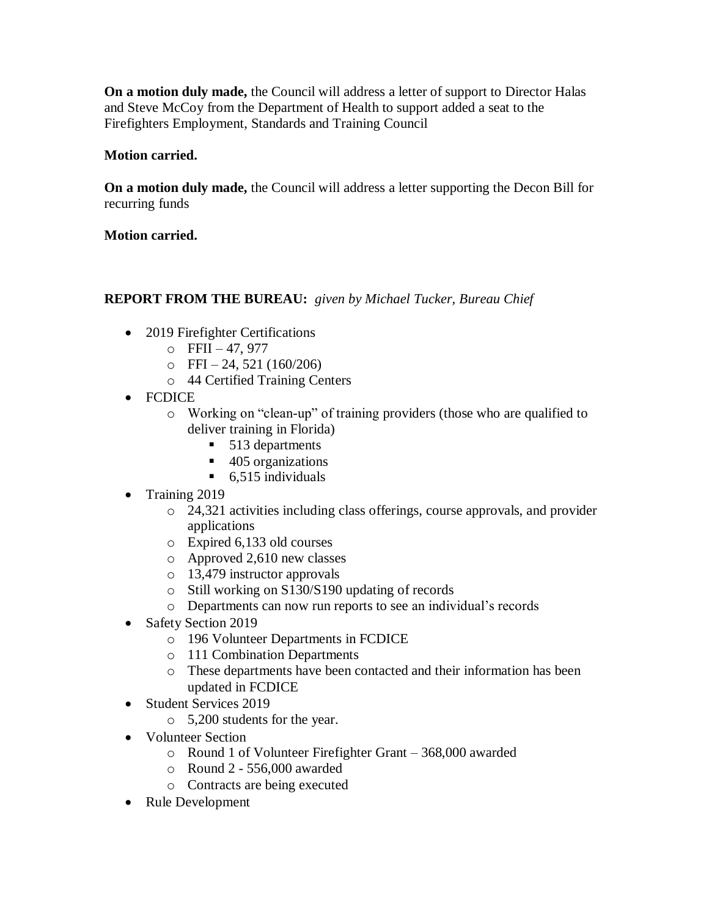**On a motion duly made,** the Council will address a letter of support to Director Halas and Steve McCoy from the Department of Health to support added a seat to the Firefighters Employment, Standards and Training Council

### **Motion carried.**

**On a motion duly made,** the Council will address a letter supporting the Decon Bill for recurring funds

### **Motion carried.**

# **REPORT FROM THE BUREAU:** *given by Michael Tucker, Bureau Chief*

- 2019 Firefighter Certifications
	- $O$  FFII 47, 977
	- $\circ$  FFI 24, 521 (160/206)
	- o 44 Certified Training Centers
- FCDICE
	- o Working on "clean-up" of training providers (those who are qualified to deliver training in Florida)
		- 513 departments
		- 405 organizations
		- $\blacksquare$  6,515 individuals
- Training 2019
	- o 24,321 activities including class offerings, course approvals, and provider applications
	- o Expired 6,133 old courses
	- o Approved 2,610 new classes
	- o 13,479 instructor approvals
	- o Still working on S130/S190 updating of records
	- o Departments can now run reports to see an individual's records
- Safety Section 2019
	- o 196 Volunteer Departments in FCDICE
	- o 111 Combination Departments
	- o These departments have been contacted and their information has been updated in FCDICE
- Student Services 2019
	- o 5,200 students for the year.
- Volunteer Section
	- o Round 1 of Volunteer Firefighter Grant 368,000 awarded
	- o Round 2 556,000 awarded
	- o Contracts are being executed
- Rule Development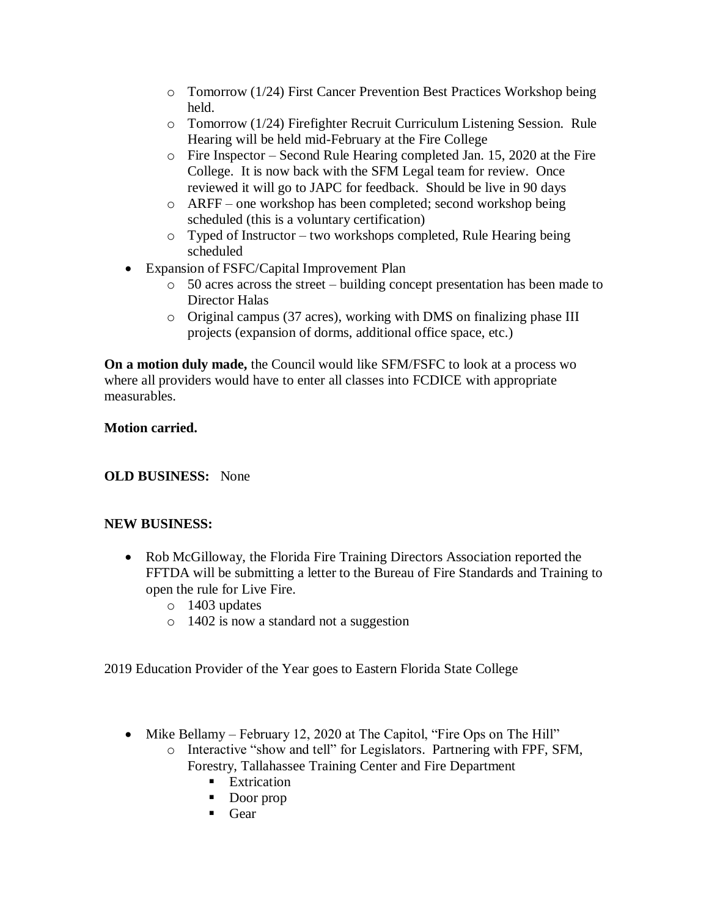- o Tomorrow (1/24) First Cancer Prevention Best Practices Workshop being held.
- o Tomorrow (1/24) Firefighter Recruit Curriculum Listening Session. Rule Hearing will be held mid-February at the Fire College
- o Fire Inspector Second Rule Hearing completed Jan. 15, 2020 at the Fire College. It is now back with the SFM Legal team for review. Once reviewed it will go to JAPC for feedback. Should be live in 90 days
- o ARFF one workshop has been completed; second workshop being scheduled (this is a voluntary certification)
- o Typed of Instructor two workshops completed, Rule Hearing being scheduled
- Expansion of FSFC/Capital Improvement Plan
	- o 50 acres across the street building concept presentation has been made to Director Halas
	- o Original campus (37 acres), working with DMS on finalizing phase III projects (expansion of dorms, additional office space, etc.)

**On a motion duly made,** the Council would like SFM/FSFC to look at a process wo where all providers would have to enter all classes into FCDICE with appropriate measurables.

## **Motion carried.**

## **OLD BUSINESS:** None

#### **NEW BUSINESS:**

- Rob McGilloway, the Florida Fire Training Directors Association reported the FFTDA will be submitting a letter to the Bureau of Fire Standards and Training to open the rule for Live Fire.
	- o 1403 updates
	- o 1402 is now a standard not a suggestion

2019 Education Provider of the Year goes to Eastern Florida State College

- Mike Bellamy February 12, 2020 at The Capitol, "Fire Ops on The Hill"
	- o Interactive "show and tell" for Legislators. Partnering with FPF, SFM, Forestry, Tallahassee Training Center and Fire Department
		- Extrication
		- Door prop
		- Gear